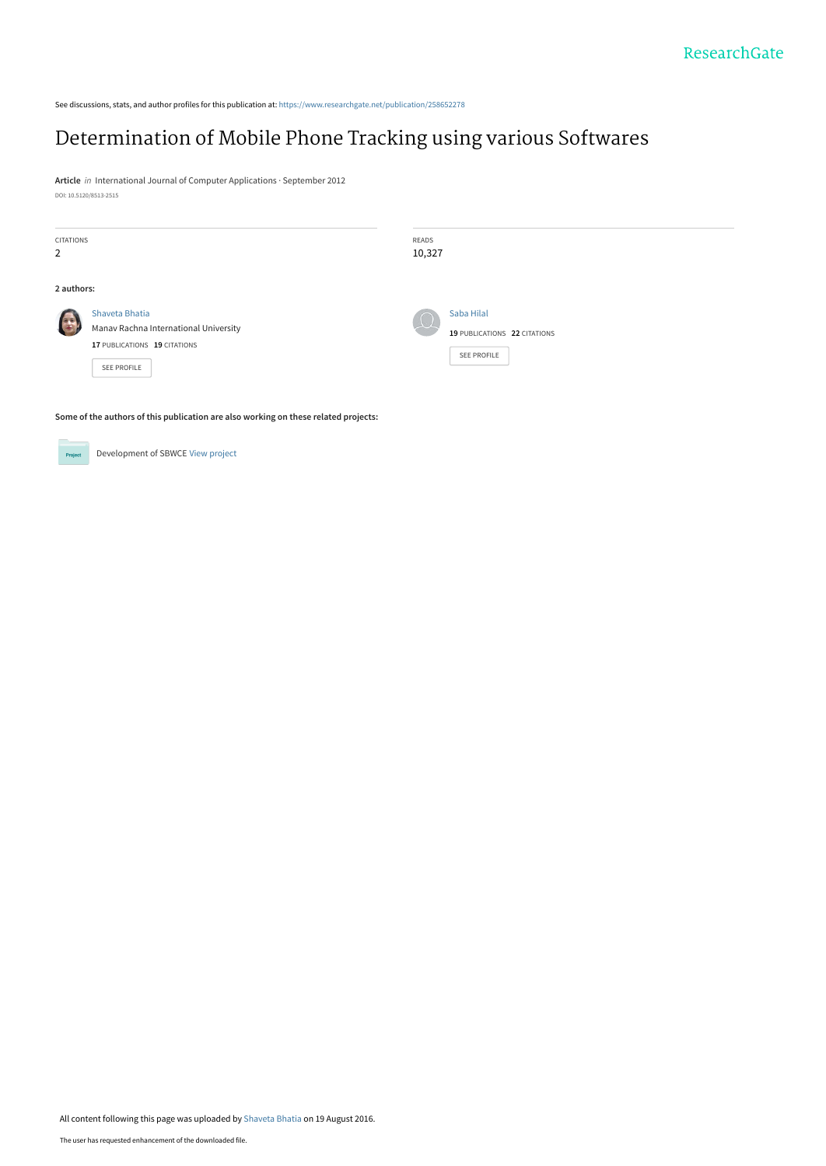See discussions, stats, and author profiles for this publication at: [https://www.researchgate.net/publication/258652278](https://www.researchgate.net/publication/258652278_Determination_of_Mobile_Phone_Tracking_using_various_Softwares?enrichId=rgreq-9b5c0e9e8fab73d7c41e0e4f5fbd42d3-XXX&enrichSource=Y292ZXJQYWdlOzI1ODY1MjI3ODtBUzozOTY3NTkwNzY0OTEyNjRAMTQ3MTYwNjE0MzQ5MA%3D%3D&el=1_x_2&_esc=publicationCoverPdf)

# [Determination of Mobile Phone Tracking using various Softwares](https://www.researchgate.net/publication/258652278_Determination_of_Mobile_Phone_Tracking_using_various_Softwares?enrichId=rgreq-9b5c0e9e8fab73d7c41e0e4f5fbd42d3-XXX&enrichSource=Y292ZXJQYWdlOzI1ODY1MjI3ODtBUzozOTY3NTkwNzY0OTEyNjRAMTQ3MTYwNjE0MzQ5MA%3D%3D&el=1_x_3&_esc=publicationCoverPdf)

**Article** in International Journal of Computer Applications · September 2012 DOI: 10.5120/8513-2515

| CITATIONS<br>$\overline{2}$ |                                                                                                               | READS<br>10,327 |                                                                  |
|-----------------------------|---------------------------------------------------------------------------------------------------------------|-----------------|------------------------------------------------------------------|
| 2 authors:                  |                                                                                                               |                 |                                                                  |
| <b>Report</b>               | Shaveta Bhatia<br>Manav Rachna International University<br>17 PUBLICATIONS 19 CITATIONS<br><b>SEE PROFILE</b> |                 | Saba Hilal<br>19 PUBLICATIONS 22 CITATIONS<br><b>SEE PROFILE</b> |

**Some of the authors of this publication are also working on these related projects:**

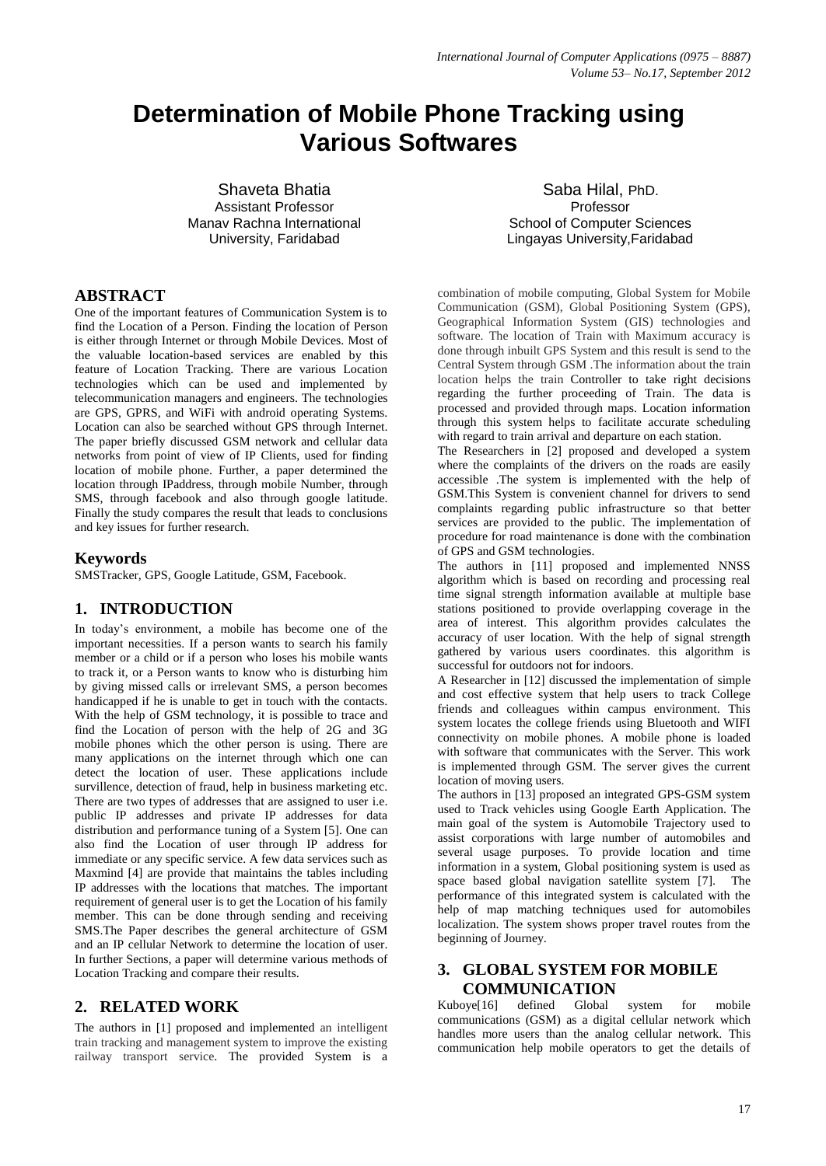# **Determination of Mobile Phone Tracking using Various Softwares**

Shaveta Bhatia Assistant Professor Manav Rachna International University, Faridabad

# **ABSTRACT**

One of the important features of Communication System is to find the Location of a Person. Finding the location of Person is either through Internet or through Mobile Devices. Most of the valuable location-based services are enabled by this feature of Location Tracking. There are various Location technologies which can be used and implemented by telecommunication managers and engineers. The technologies are GPS, GPRS, and WiFi with android operating Systems. Location can also be searched without GPS through Internet. The paper briefly discussed GSM network and cellular data networks from point of view of IP Clients, used for finding location of mobile phone. Further, a paper determined the location through IPaddress, through mobile Number, through SMS, through facebook and also through google latitude. Finally the study compares the result that leads to conclusions and key issues for further research.

### **Keywords**

SMSTracker, GPS, Google Latitude, GSM, Facebook.

# **1. INTRODUCTION**

In today's environment, a mobile has become one of the important necessities. If a person wants to search his family member or a child or if a person who loses his mobile wants to track it, or a Person wants to know who is disturbing him by giving missed calls or irrelevant SMS, a person becomes handicapped if he is unable to get in touch with the contacts. With the help of GSM technology, it is possible to trace and find the Location of person with the help of 2G and 3G mobile phones which the other person is using. There are many applications on the internet through which one can detect the location of user. These applications include survillence, detection of fraud, help in business marketing etc. There are two types of addresses that are assigned to user i.e. public IP addresses and private IP addresses for data distribution and performance tuning of a System [5]. One can also find the Location of user through IP address for immediate or any specific service. A few data services such as Maxmind [4] are provide that maintains the tables including IP addresses with the locations that matches. The important requirement of general user is to get the Location of his family member. This can be done through sending and receiving SMS.The Paper describes the general architecture of GSM and an IP cellular Network to determine the location of user. In further Sections, a paper will determine various methods of Location Tracking and compare their results.

# **2. RELATED WORK**

The authors in [1] proposed and implemented an intelligent train tracking and management system to improve the existing railway transport service. The provided System is a

 Saba Hilal, PhD. Professor School of Computer Sciences Lingayas University,Faridabad

combination of mobile computing, Global System for Mobile Communication (GSM), Global Positioning System (GPS), Geographical Information System (GIS) technologies and software. The location of Train with Maximum accuracy is done through inbuilt GPS System and this result is send to the Central System through GSM .The information about the train location helps the train Controller to take right decisions regarding the further proceeding of Train. The data is processed and provided through maps. Location information through this system helps to facilitate accurate scheduling with regard to train arrival and departure on each station.

The Researchers in [2] proposed and developed a system where the complaints of the drivers on the roads are easily accessible .The system is implemented with the help of GSM.This System is convenient channel for drivers to send complaints regarding public infrastructure so that better services are provided to the public. The implementation of procedure for road maintenance is done with the combination of GPS and GSM technologies.

The authors in [11] proposed and implemented NNSS algorithm which is based on recording and processing real time signal strength information available at multiple base stations positioned to provide overlapping coverage in the area of interest. This algorithm provides calculates the accuracy of user location. With the help of signal strength gathered by various users coordinates. this algorithm is successful for outdoors not for indoors.

A Researcher in [12] discussed the implementation of simple and cost effective system that help users to track College friends and colleagues within campus environment. This system locates the college friends using Bluetooth and WIFI connectivity on mobile phones. A mobile phone is loaded with software that communicates with the Server. This work is implemented through GSM. The server gives the current location of moving users.

The authors in [13] proposed an integrated GPS-GSM system used to Track vehicles using Google Earth Application. The main goal of the system is Automobile Trajectory used to assist corporations with large number of automobiles and several usage purposes. To provide location and time information in a system, Global positioning system is used as space based global navigation satellite system [7]. The performance of this integrated system is calculated with the help of map matching techniques used for automobiles localization. The system shows proper travel routes from the beginning of Journey.

# **3. GLOBAL SYSTEM FOR MOBILE COMMUNICATION**

Kuboye[16] defined Global system for mobile communications (GSM) as a digital cellular network which handles more users than the analog cellular network. This communication help mobile operators to get the details of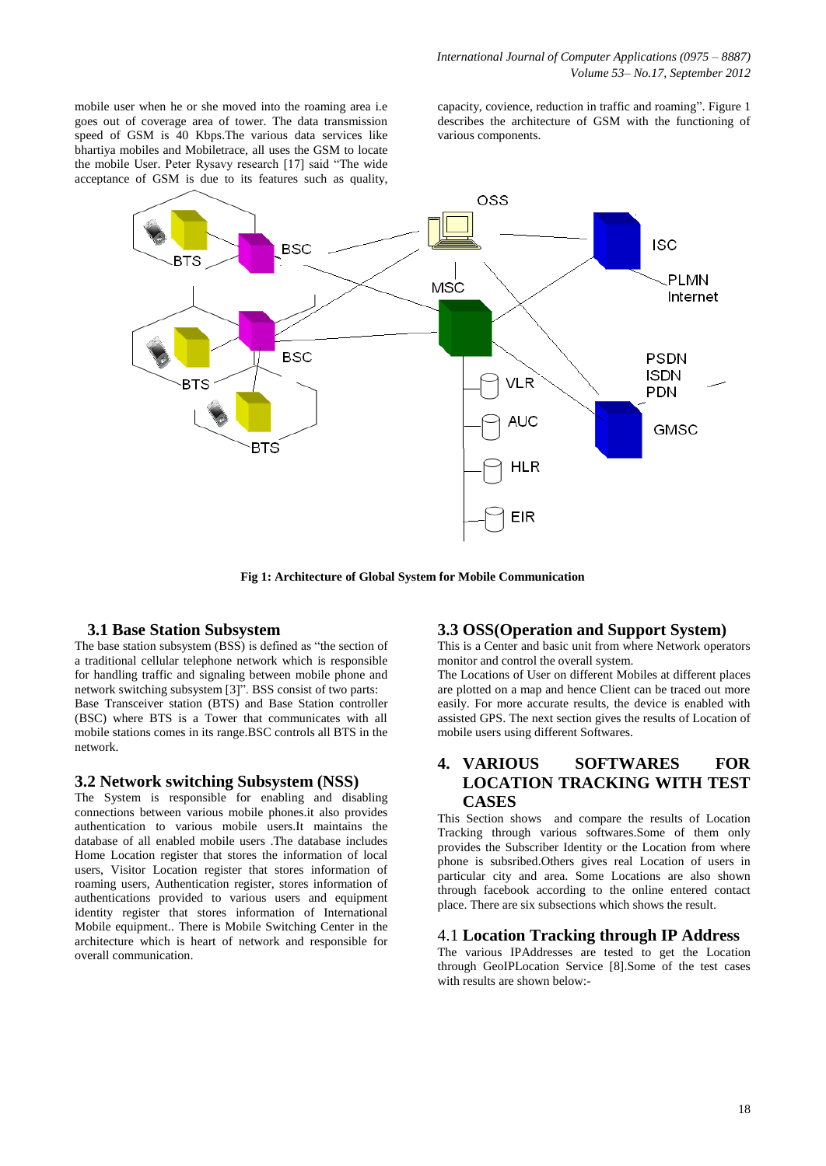mobile user when he or she moved into the roaming area i.e goes out of coverage area of tower. The data transmission speed of GSM is 40 Kbps.The various data services like bhartiya mobiles and Mobiletrace, all uses the GSM to locate the mobile User. Peter Rysavy research [17] said "The wide acceptance of GSM is due to its features such as quality,

capacity, covience, reduction in traffic and roaming". Figure 1 describes the architecture of GSM with the functioning of various components.



**Fig 1: Architecture of Global System for Mobile Communication**

### **3.1 Base Station Subsystem**

The base station subsystem (BSS) is defined as "the section of a traditional cellular telephone network which is responsible for handling traffic and signaling between mobile phone and network switching subsystem [3]". BSS consist of two parts: Base Transceiver station (BTS) and Base Station controller (BSC) where BTS is a Tower that communicates with all mobile stations comes in its range.BSC controls all BTS in the network.

#### **3.2 Network switching Subsystem (NSS)**

The System is responsible for enabling and disabling connections between various mobile phones.it also provides authentication to various mobile users.It maintains the database of all enabled mobile users .The database includes Home Location register that stores the information of local users, Visitor Location register that stores information of roaming users, Authentication register, stores information of authentications provided to various users and equipment identity register that stores information of International Mobile equipment.. There is Mobile Switching Center in the architecture which is heart of network and responsible for overall communication.

## **3.3 OSS(Operation and Support System)**

This is a Center and basic unit from where Network operators monitor and control the overall system.

The Locations of User on different Mobiles at different places are plotted on a map and hence Client can be traced out more easily. For more accurate results, the device is enabled with assisted GPS. The next section gives the results of Location of mobile users using different Softwares.

# **4. VARIOUS SOFTWARES FOR LOCATION TRACKING WITH TEST CASES**

This Section shows and compare the results of Location Tracking through various softwares.Some of them only provides the Subscriber Identity or the Location from where phone is subsribed.Others gives real Location of users in particular city and area. Some Locations are also shown through facebook according to the online entered contact place. There are six subsections which shows the result.

## 4.1 **Location Tracking through IP Address**

The various IPAddresses are tested to get the Location through GeoIPLocation Service [8].Some of the test cases with results are shown below:-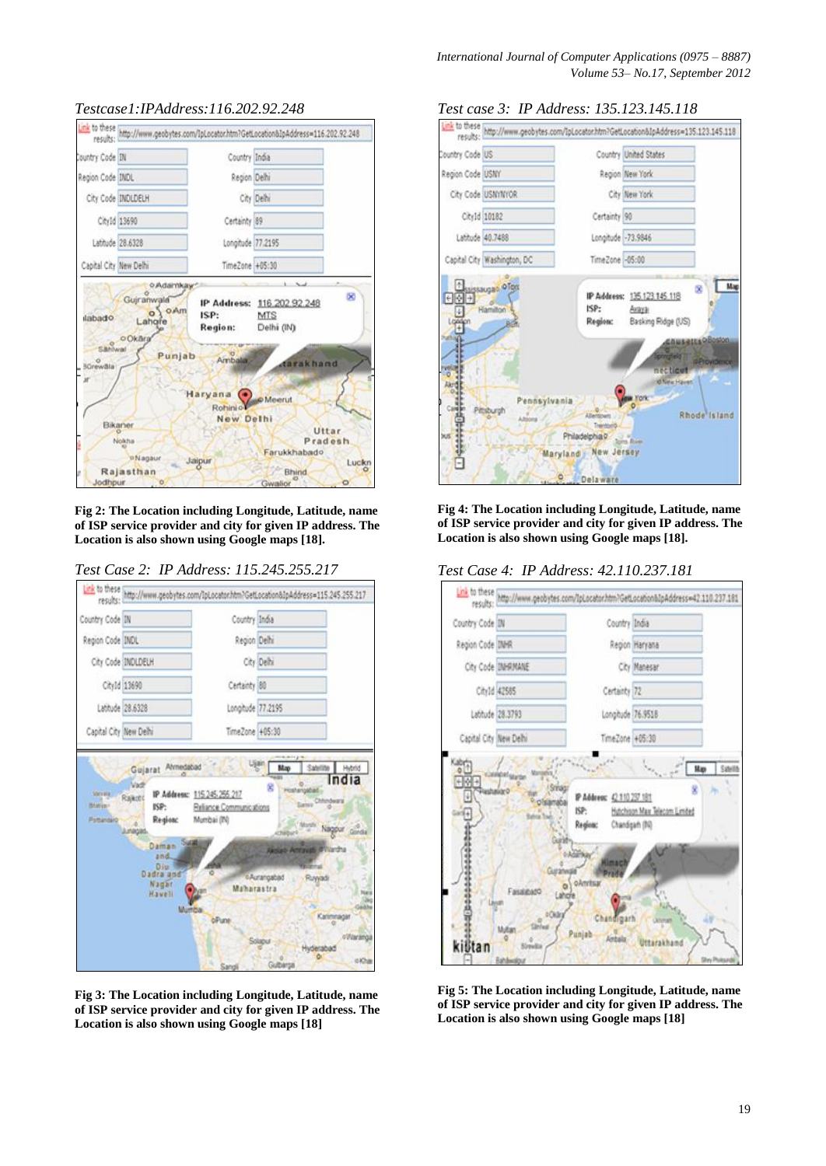

## *Testcase1:IPAddress:116.202.92.248*

**Fig 2: The Location including Longitude, Latitude, name of ISP service provider and city for given IP address. The Location is also shown using Google maps [18].**



*Test Case 2: IP Address: 115.245.255.217*

**Fig 3: The Location including Longitude, Latitude, name of ISP service provider and city for given IP address. The Location is also shown using Google maps [18]**



**Fig 4: The Location including Longitude, Latitude, name of ISP service provider and city for given IP address. The Location is also shown using Google maps [18].**





**Fig 5: The Location including Longitude, Latitude, name of ISP service provider and city for given IP address. The Location is also shown using Google maps [18]**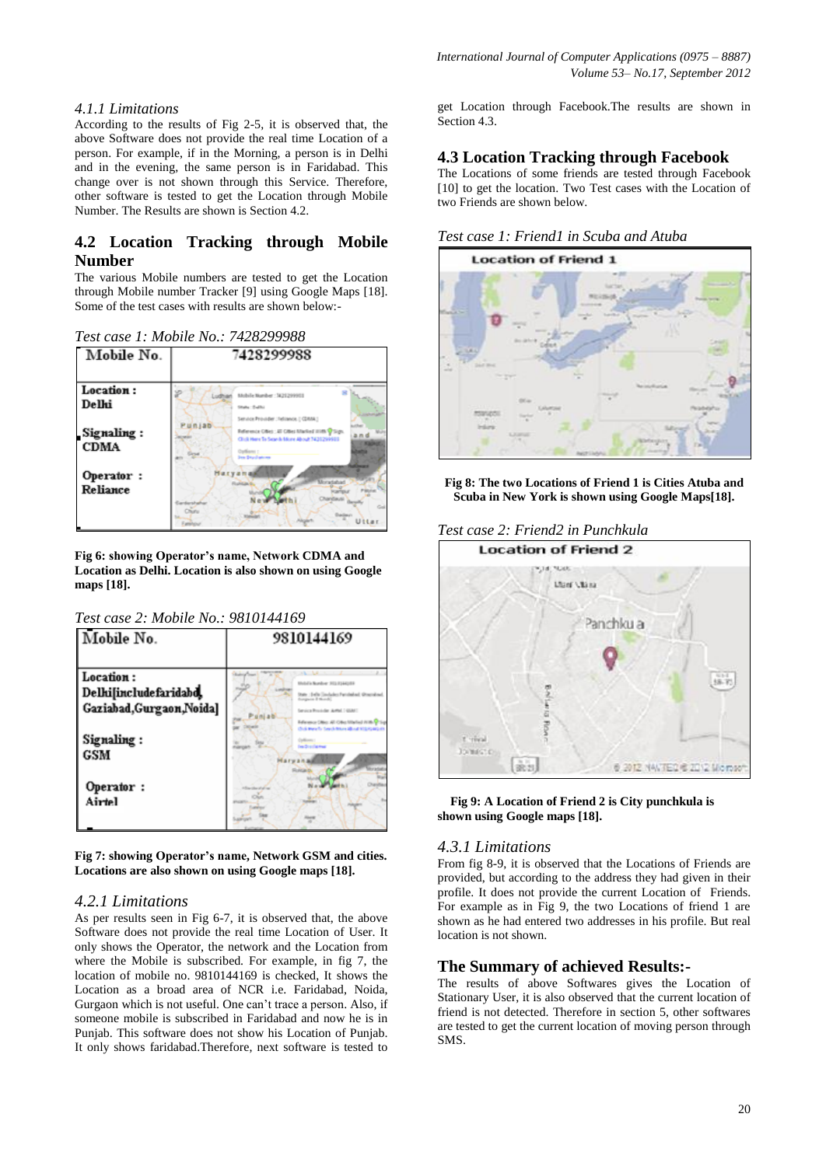## *4.1.1 Limitations*

According to the results of Fig 2-5, it is observed that, the above Software does not provide the real time Location of a person. For example, if in the Morning, a person is in Delhi and in the evening, the same person is in Faridabad. This change over is not shown through this Service. Therefore, other software is tested to get the Location through Mobile Number. The Results are shown is Section 4.2.

# **4.2 Location Tracking through Mobile Number**

The various Mobile numbers are tested to get the Location through Mobile number Tracker [9] using Google Maps [18]. Some of the test cases with results are shown below:-

*Test case 1: Mobile No.: 7428299988*



**Fig 6: showing Operator's name, Network CDMA and Location as Delhi. Location is also shown on using Google maps [18].** 

#### *Test case 2: Mobile No.: 9810144169*



**Fig 7: showing Operator's name, Network GSM and cities. Locations are also shown on using Google maps [18].** 

# *4.2.1 Limitations*

As per results seen in Fig 6-7, it is observed that, the above Software does not provide the real time Location of User. It only shows the Operator, the network and the Location from where the Mobile is subscribed. For example, in fig 7, the location of mobile no. 9810144169 is checked, It shows the Location as a broad area of NCR i.e. Faridabad, Noida, Gurgaon which is not useful. One can't trace a person. Also, if someone mobile is subscribed in Faridabad and now he is in Punjab. This software does not show his Location of Punjab. It only shows faridabad.Therefore, next software is tested to get Location through Facebook.The results are shown in Section 4.3.

## **4.3 Location Tracking through Facebook**

The Locations of some friends are tested through Facebook [10] to get the location. Two Test cases with the Location of two Friends are shown below.

#### *Test case 1: Friend1 in Scuba and Atuba*



**Fig 8: The two Locations of Friend 1 is Cities Atuba and Scuba in New York is shown using Google Maps[18].**

#### *Test case 2: Friend2 in Punchkula*



 **Fig 9: A Location of Friend 2 is City punchkula is shown using Google maps [18].**

### *4.3.1 Limitations*

From fig 8-9, it is observed that the Locations of Friends are provided, but according to the address they had given in their profile. It does not provide the current Location of Friends. For example as in Fig 9, the two Locations of friend 1 are shown as he had entered two addresses in his profile. But real location is not shown.

### **The Summary of achieved Results:-**

The results of above Softwares gives the Location of Stationary User, it is also observed that the current location of friend is not detected. Therefore in section 5, other softwares are tested to get the current location of moving person through SMS.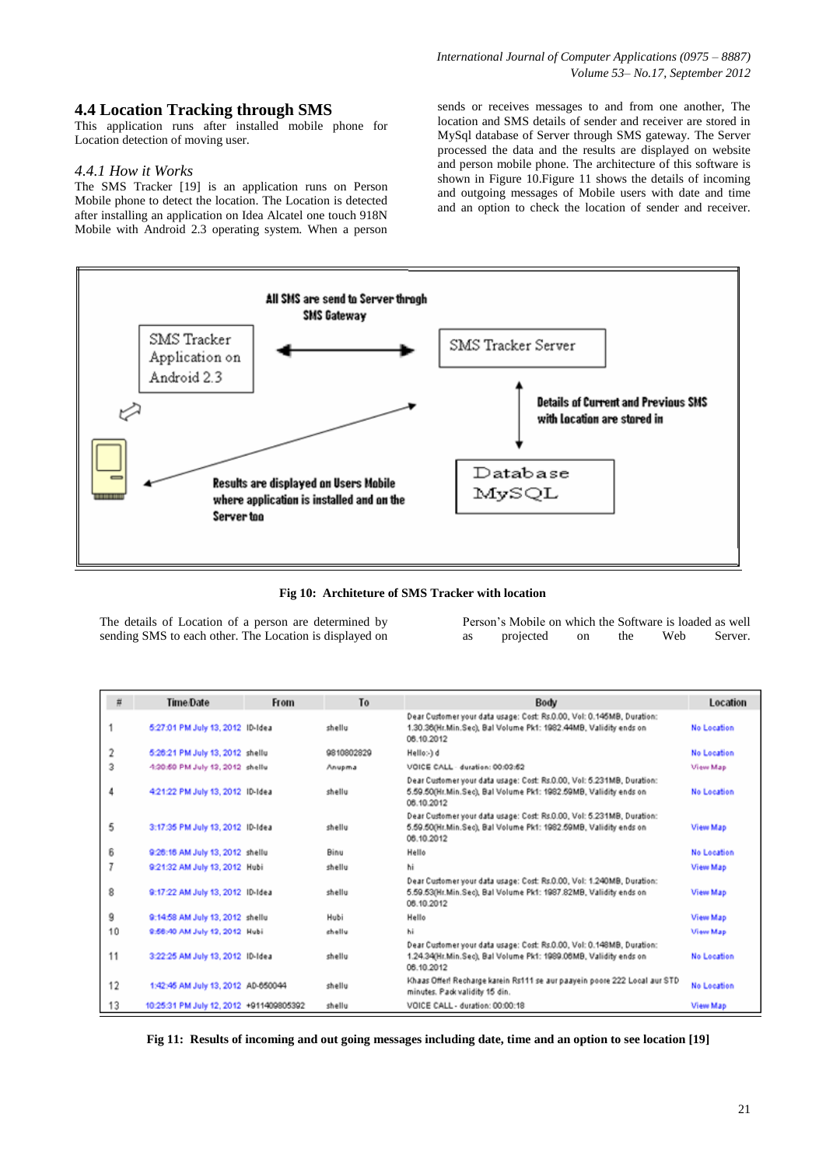## **4.4 Location Tracking through SMS**

This application runs after installed mobile phone for Location detection of moving user.

#### *4.4.1 How it Works*

The SMS Tracker [19] is an application runs on Person Mobile phone to detect the location. The Location is detected after installing an application on Idea Alcatel one touch 918N Mobile with Android 2.3 operating system. When a person

sends or receives messages to and from one another, The location and SMS details of sender and receiver are stored in MySql database of Server through SMS gateway. The Server processed the data and the results are displayed on website and person mobile phone. The architecture of this software is shown in Figure 10.Figure 11 shows the details of incoming and outgoing messages of Mobile users with date and time and an option to check the location of sender and receiver.



**Fig 10: Architeture of SMS Tracker with location**

The details of Location of a person are determined by sending SMS to each other. The Location is displayed on Person's Mobile on which the Software is loaded as well as projected on the Web Server.

| 幕  | <b>Time</b> Date                        | <b>From</b> | T <sub>o</sub> | Body                                                                                                                                                    | Location        |
|----|-----------------------------------------|-------------|----------------|---------------------------------------------------------------------------------------------------------------------------------------------------------|-----------------|
|    | 5:27:01 PM July 13, 2012 ID-Idea        |             | shellu         | Dear Customer your data usage: Cost: Rs.O.OO, Vol: O.145MB, Duration:<br>1.30.36(Hr.Min.Sec), Bal Volume Pk1: 1982.44MB, Validity ends on<br>06.10.2012 | No Location     |
| 2  | 5:26:21 PM July 13, 2012 shellu         |             | 9810802829     | Hello: 1 d                                                                                                                                              | No Location     |
| 3  | 4:20:50 PM July 13, 2012 shelly         |             | Anupma         | VOICE CALL - duration: 00:02:62                                                                                                                         | View Map        |
| 4  | 42122 PM July 13, 2012 ID-Idea          |             | shellu         | Dear Customer your data usage: Cost: Rs.0.00, Vol: 5.231MB, Duration:<br>5.59.50(Hr.Min.Sec), Bal Volume Pk1: 1982.59MB, Validity ends on<br>06.10.2012 | No Location     |
| 5  | 3:17:35 PM July 13, 2012 ID-Idea        |             | shellu         | Dear Customer your data usage: Cost: Rs.0.00, Vol: 5.231MB, Duration:<br>5.59.50(Hr.Min.Sec), Bal Volume Pk1: 1982.59MB, Validity ends on<br>06.10.2012 | View Map        |
| 6  | 9:26:16 AM July 13, 2012 shellu         |             | <b>Binu</b>    | Hello                                                                                                                                                   | No Location     |
| 7  | 9:21:32 AM July 13, 2012 Hubi           |             | shellu         | hi                                                                                                                                                      | View Map        |
| 8  | 9:17:22 AM July 13, 2012 ID-Idea        |             | shellu         | Dear Customer your data usage: Cost: Rs.0.00, Vol: 1.240MB, Duration:<br>5.59.53(Hr.Min.Sec), Bal Volume Pk1: 1987.82MB, Validity ends on<br>06.10.2012 | View Map        |
| 9  | 9:14:58 AM July 13, 2012 shellu         |             | Hubi           | Hello                                                                                                                                                   | View Map        |
| 10 | 9:56:40 AM July 12, 2012 Hubi           |             | chellu         | hi                                                                                                                                                      | <b>View Map</b> |
| 11 | 3:22:25 AM July 13, 2012 ID-Idea        |             | shellu         | Dear Customer your data usage: Cost: Rs.O.OO, Vol: O.148MB, Duration:<br>1.24.34(Hr.Min.Sec), Bal Volume Pk1: 1989.06MB, Validity ends on<br>06.10.2012 | No Location     |
| 12 | 1:42:45 AM July 13, 2012 AD-650044      |             | shellu         | Khaas Offer! Recharge karein Rs111 se aur paayein poore 222 Local aur STD<br>minutes. Pack validity 15 din.                                             | No Location     |
| 13 | 10:25:31 PM July 12, 2012 +911409805392 |             | shellu         | VOICE CALL - duration: 00:00:18                                                                                                                         | View Map        |

 **Fig 11: Results of incoming and out going messages including date, time and an option to see location [19]**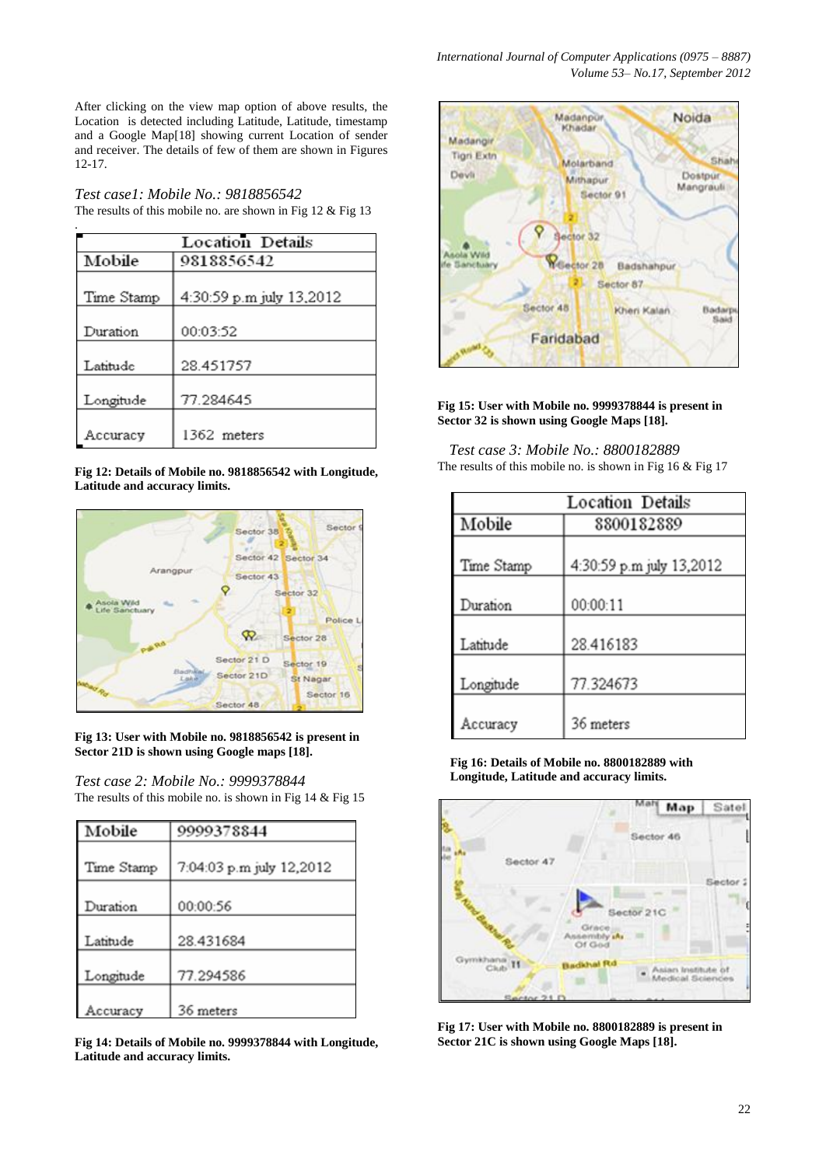After clicking on the view map option of above results, the Location is detected including Latitude, Latitude, timestamp and a Google Map[18] showing current Location of sender and receiver. The details of few of them are shown in Figures 12-17.

*Test case1: Mobile No.: 9818856542* The results of this mobile no. are shown in Fig 12 & Fig 13

|            | <b>Location Details</b>  |
|------------|--------------------------|
| Mobile     | 9818856542               |
| Time Stamp | 4:30:59 p.m july 13,2012 |
| Duration   | 00:03:52                 |
| Latitude   | 28.451757                |
| Longitude  | 77.284645                |
| Accuracy   | 1362 meters              |

**Fig 12: Details of Mobile no. 9818856542 with Longitude, Latitude and accuracy limits.**



**Fig 13: User with Mobile no. 9818856542 is present in Sector 21D is shown using Google maps [18].**

*Test case 2: Mobile No.: 9999378844* The results of this mobile no. is shown in Fig 14 & Fig 15

| Mobile     | 9999378844               |
|------------|--------------------------|
|            |                          |
| Time Stamp | 7:04:03 p.m july 12,2012 |
|            |                          |
| Duration   | 00:00:56                 |
|            |                          |
| Latitude   | 28.431684                |
|            |                          |
| Longitude  | 77.294586                |
|            |                          |
| ccuracy    | 36 meters                |

**Fig 14: Details of Mobile no. 9999378844 with Longitude, Latitude and accuracy limits.**



**Fig 15: User with Mobile no. 9999378844 is present in Sector 32 is shown using Google Maps [18].**

 *Test case 3: Mobile No.: 8800182889* The results of this mobile no. is shown in Fig 16 & Fig 17

| <b>Location Details</b> |                          |  |
|-------------------------|--------------------------|--|
| Mobile                  | 8800182889               |  |
| Time Stamp              | 4:30:59 p.m july 13,2012 |  |
| Duration                | 00:00:11                 |  |
| Latitude                | 28.416183                |  |
| Longitude               | 77.324673                |  |
| Accuracy                | 36 meters                |  |

**Fig 16: Details of Mobile no. 8800182889 with Longitude, Latitude and accuracy limits.**



**Fig 17: User with Mobile no. 8800182889 is present in Sector 21C is shown using Google Maps [18].**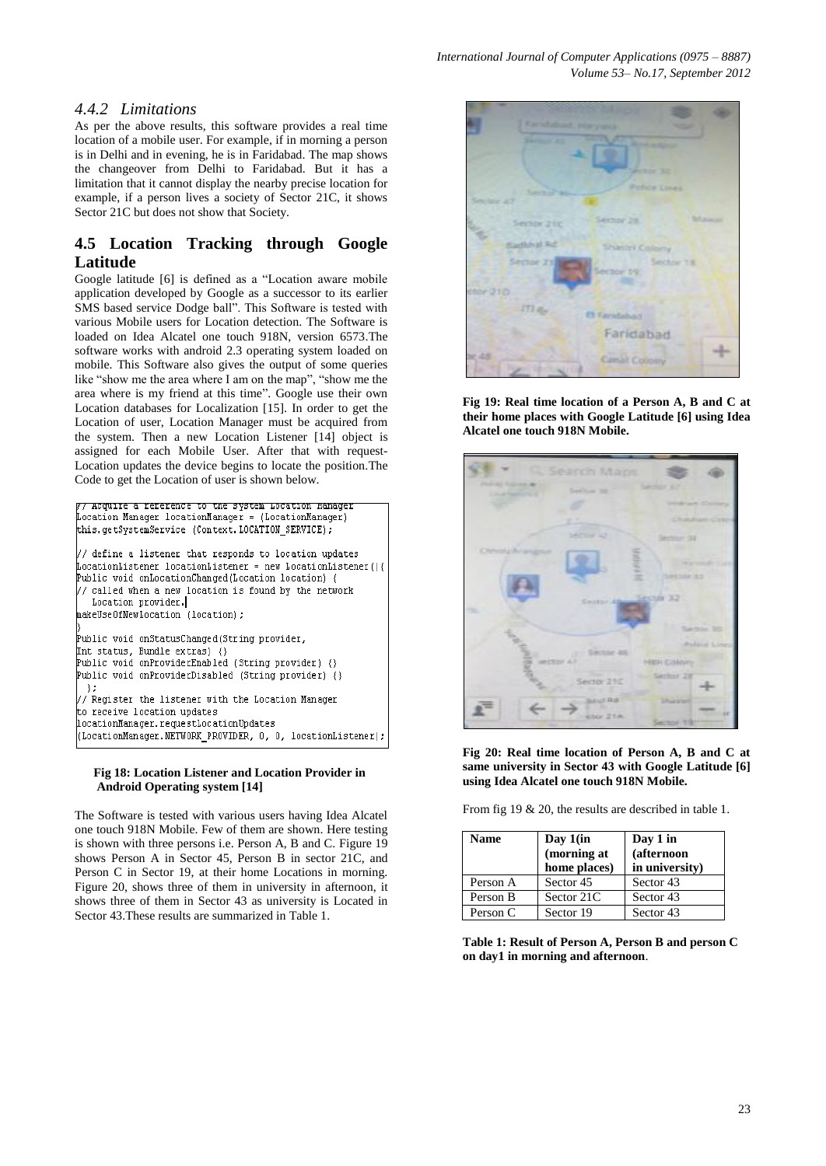# *4.4.2 Limitations*

As per the above results, this software provides a real time location of a mobile user. For example, if in morning a person is in Delhi and in evening, he is in Faridabad. The map shows the changeover from Delhi to Faridabad. But it has a limitation that it cannot display the nearby precise location for example, if a person lives a society of Sector 21C, it shows Sector 21C but does not show that Society.

# **4.5 Location Tracking through Google Latitude**

Google latitude [6] is defined as a "Location aware mobile application developed by Google as a successor to its earlier SMS based service Dodge ball". This Software is tested with various Mobile users for Location detection. The Software is loaded on Idea Alcatel one touch 918N, version 6573.The software works with android 2.3 operating system loaded on mobile. This Software also gives the output of some queries like "show me the area where I am on the map", "show me the area where is my friend at this time". Google use their own Location databases for Localization [15]. In order to get the Location of user, Location Manager must be acquired from the system. Then a new Location Listener [14] object is assigned for each Mobile User. After that with request-Location updates the device begins to locate the position.The Code to get the Location of user is shown below.



#### **Fig 18: Location Listener and Location Provider in Android Operating system [14]**

The Software is tested with various users having Idea Alcatel one touch 918N Mobile. Few of them are shown. Here testing is shown with three persons i.e. Person A, B and C. Figure 19 shows Person A in Sector 45, Person B in sector 21C, and Person C in Sector 19, at their home Locations in morning. Figure 20, shows three of them in university in afternoon, it shows three of them in Sector 43 as university is Located in Sector 43.These results are summarized in Table 1.



**Fig 19: Real time location of a Person A, B and C at their home places with Google Latitude [6] using Idea Alcatel one touch 918N Mobile.**



**Fig 20: Real time location of Person A, B and C at same university in Sector 43 with Google Latitude [6] using Idea Alcatel one touch 918N Mobile.**

From fig 19 & 20, the results are described in table 1.

| <b>Name</b> | Day $1$ (in<br>(morning at<br>home places) | Day 1 in<br>(afternoon<br>in university) |
|-------------|--------------------------------------------|------------------------------------------|
| Person A    | Sector 45                                  | Sector 43                                |
| Person B    | Sector 21C                                 | Sector 43                                |
| Person C    | Sector 19                                  | Sector 43                                |

**Table 1: Result of Person A, Person B and person C on day1 in morning and afternoon**.